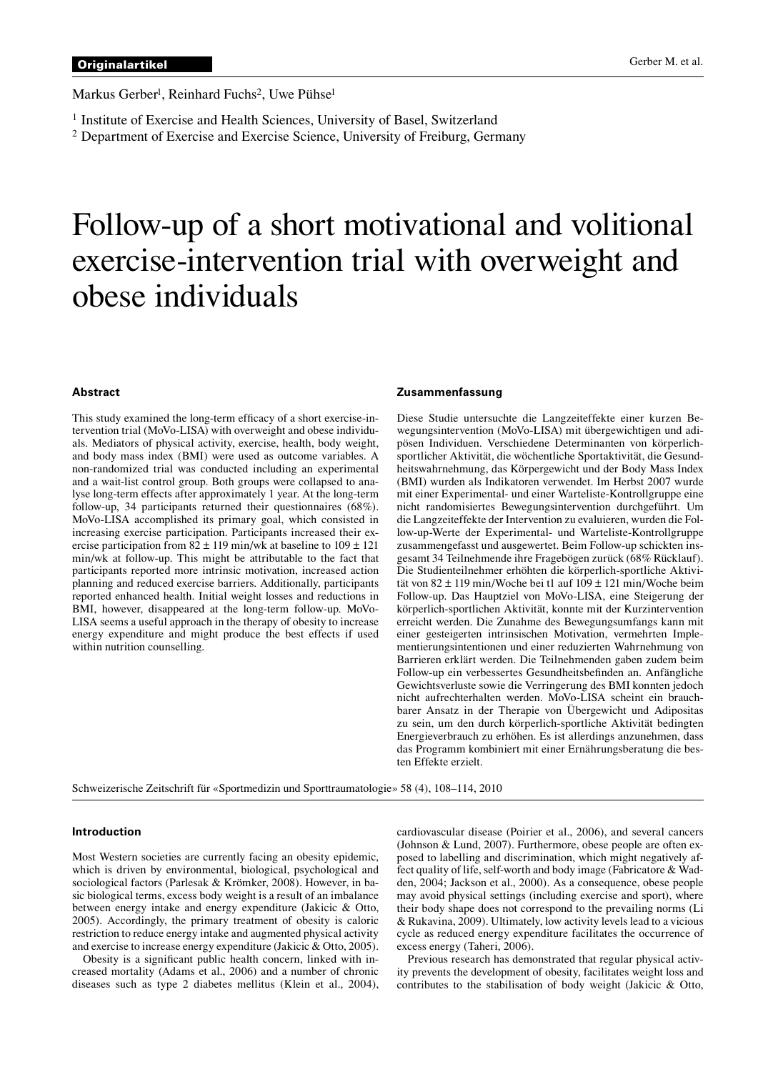Markus Gerber<sup>1</sup>, Reinhard Fuchs<sup>2</sup>, Uwe Pühse<sup>1</sup>

<sup>1</sup> Institute of Exercise and Health Sciences, University of Basel, Switzerland

<sup>2</sup> Department of Exercise and Exercise Science, University of Freiburg, Germany

# Follow-up of a short motivational and volitional exercise-intervention trial with overweight and obese individuals

## **Abstract**

This study examined the long-term efficacy of a short exercise-intervention trial (MoVo-LISA) with overweight and obese individuals. Mediators of physical activity, exercise, health, body weight, and body mass index (BMI) were used as outcome variables. A non-randomized trial was conducted including an experimental and a wait-list control group. Both groups were collapsed to analyse long-term effects after approximately 1 year. At the long-term follow-up, 34 participants returned their questionnaires (68%). MoVo-LISA accomplished its primary goal, which consisted in increasing exercise participation. Participants increased their exercise participation from  $82 \pm 119$  min/wk at baseline to  $109 \pm 121$ min/wk at follow-up. This might be attributable to the fact that participants reported more intrinsic motivation, increased action planning and reduced exercise barriers. Additionally, participants reported enhanced health. Initial weight losses and reductions in BMI, however, disappeared at the long-term follow-up. MoVo-LISA seems a useful approach in the therapy of obesity to increase energy expenditure and might produce the best effects if used within nutrition counselling.

### **Zusammenfassung**

Diese Studie untersuchte die Langzeiteffekte einer kurzen Bewegungsintervention (MoVo-LISA) mit übergewichtigen und adipösen Individuen. Verschiedene Determinanten von körperlichsportlicher Aktivität, die wöchentliche Sportaktivität, die Gesundheitswahrnehmung, das Körpergewicht und der Body Mass Index (BMI) wurden als Indikatoren verwendet. Im Herbst 2007 wurde mit einer Experimental- und einer Warteliste-Kontrollgruppe eine nicht randomisiertes Bewegungsintervention durchgeführt. Um die Langzeiteffekte der Intervention zu evaluieren, wurden die Follow-up-Werte der Experimental- und Warteliste-Kontrollgruppe zusammengefasst und ausgewertet. Beim Follow-up schickten insgesamt 34 Teilnehmende ihre Fragebögen zurück (68% Rücklauf). Die Studienteilnehmer erhöhten die körperlich-sportliche Aktivität von 82 ± 119 min/Woche bei t1 auf 109 ± 121 min/Woche beim Follow-up. Das Hauptziel von MoVo-LISA, eine Steigerung der körperlich-sportlichen Aktivität, konnte mit der Kurzintervention erreicht werden. Die Zunahme des Bewegungsumfangs kann mit einer gesteigerten intrinsischen Motivation, vermehrten Implementierungsintentionen und einer reduzierten Wahrnehmung von Barrieren erklärt werden. Die Teilnehmenden gaben zudem beim Follow-up ein verbessertes Gesundheitsbefinden an. Anfängliche Gewichtsverluste sowie die Verringerung des BMI konnten jedoch nicht aufrechterhalten werden. MoVo-LISA scheint ein brauchbarer Ansatz in der Therapie von Übergewicht und Adipositas zu sein, um den durch körperlich-sportliche Aktivität bedingten Energieverbrauch zu erhöhen. Es ist allerdings anzunehmen, dass das Programm kombiniert mit einer Ernährungsberatung die besten Effekte erzielt.

Schweizerische Zeitschrift für «Sportmedizin und Sporttraumatologie» 58 (4), 108–114, 2010

#### **Introduction**

Most Western societies are currently facing an obesity epidemic, which is driven by environmental, biological, psychological and sociological factors (Parlesak & Krömker, 2008). However, in basic biological terms, excess body weight is a result of an imbalance between energy intake and energy expenditure (Jakicic & Otto, 2005). Accordingly, the primary treatment of obesity is caloric restriction to reduce energy intake and augmented physical activity and exercise to increase energy expenditure (Jakicic & Otto, 2005).

Obesity is a significant public health concern, linked with increased mortality (Adams et al., 2006) and a number of chronic diseases such as type 2 diabetes mellitus (Klein et al., 2004), cardiovascular disease (Poirier et al., 2006), and several cancers (Johnson & Lund, 2007). Furthermore, obese people are often exposed to labelling and discrimination, which might negatively affect quality of life, self-worth and body image (Fabricatore & Wadden, 2004; Jackson et al., 2000). As a consequence, obese people may avoid physical settings (including exercise and sport), where their body shape does not correspond to the prevailing norms (Li & Rukavina, 2009). Ultimately, low activity levels lead to a vicious cycle as reduced energy expenditure facilitates the occurrence of excess energy (Taheri, 2006).

Previous research has demonstrated that regular physical activity prevents the development of obesity, facilitates weight loss and contributes to the stabilisation of body weight (Jakicic & Otto,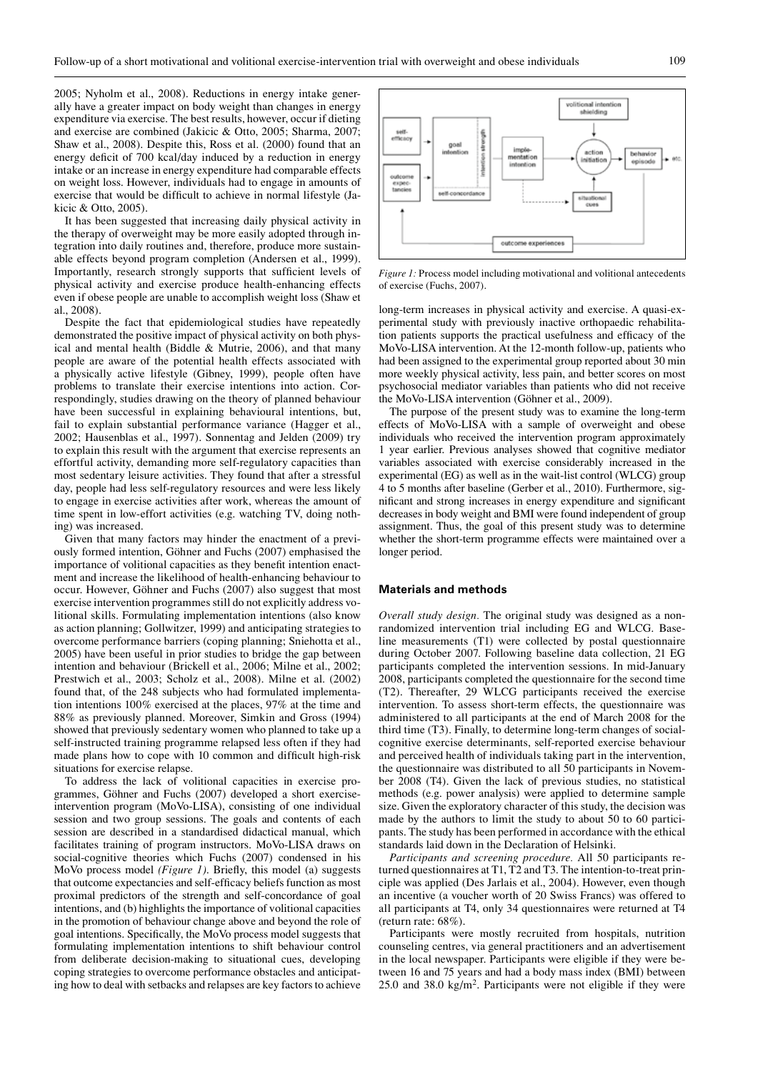2005; Nyholm et al., 2008). Reductions in energy intake generally have a greater impact on body weight than changes in energy expenditure via exercise. The best results, however, occur if dieting and exercise are combined (Jakicic & Otto, 2005; Sharma, 2007; Shaw et al., 2008). Despite this, Ross et al. (2000) found that an energy deficit of 700 kcal/day induced by a reduction in energy intake or an increase in energy expenditure had comparable effects on weight loss. However, individuals had to engage in amounts of exercise that would be difficult to achieve in normal lifestyle (Jakicic & Otto, 2005).

It has been suggested that increasing daily physical activity in the therapy of overweight may be more easily adopted through integration into daily routines and, therefore, produce more sustainable effects beyond program completion (Andersen et al., 1999). Importantly, research strongly supports that sufficient levels of physical activity and exercise produce health-enhancing effects even if obese people are unable to accomplish weight loss (Shaw et al., 2008).

Despite the fact that epidemiological studies have repeatedly demonstrated the positive impact of physical activity on both physical and mental health (Biddle & Mutrie, 2006), and that many people are aware of the potential health effects associated with a physically active lifestyle (Gibney, 1999), people often have problems to translate their exercise intentions into action. Correspondingly, studies drawing on the theory of planned behaviour have been successful in explaining behavioural intentions, but, fail to explain substantial performance variance (Hagger et al., 2002; Hausenblas et al., 1997). Sonnentag and Jelden (2009) try to explain this result with the argument that exercise represents an effortful activity, demanding more self-regulatory capacities than most sedentary leisure activities. They found that after a stressful day, people had less self-regulatory resources and were less likely to engage in exercise activities after work, whereas the amount of time spent in low-effort activities (e.g. watching TV, doing nothing) was increased.

Given that many factors may hinder the enactment of a previously formed intention, Göhner and Fuchs (2007) emphasised the importance of volitional capacities as they benefit intention enactment and increase the likelihood of health-enhancing behaviour to occur. However, Göhner and Fuchs (2007) also suggest that most exercise intervention programmes still do not explicitly address volitional skills. Formulating implementation intentions (also know as action planning; Gollwitzer, 1999) and anticipating strategies to overcome performance barriers (coping planning; Sniehotta et al., 2005) have been useful in prior studies to bridge the gap between intention and behaviour (Brickell et al., 2006; Milne et al., 2002; Prestwich et al., 2003; Scholz et al., 2008). Milne et al. (2002) found that, of the 248 subjects who had formulated implementation intentions 100% exercised at the places, 97% at the time and 88% as previously planned. Moreover, Simkin and Gross (1994) showed that previously sedentary women who planned to take up a self-instructed training programme relapsed less often if they had made plans how to cope with 10 common and difficult high-risk situations for exercise relapse.

To address the lack of volitional capacities in exercise programmes, Göhner and Fuchs (2007) developed a short exerciseintervention program (MoVo-LISA), consisting of one individual session and two group sessions. The goals and contents of each session are described in a standardised didactical manual, which facilitates training of program instructors. MoVo-LISA draws on social-cognitive theories which Fuchs (2007) condensed in his MoVo process model *(Figure 1)*. Briefly, this model (a) suggests that outcome expectancies and self-efficacy beliefs function as most proximal predictors of the strength and self-concordance of goal intentions, and (b) highlights the importance of volitional capacities in the promotion of behaviour change above and beyond the role of goal intentions. Specifically, the MoVo process model suggests that formulating implementation intentions to shift behaviour control from deliberate decision-making to situational cues, developing coping strategies to overcome performance obstacles and anticipating how to deal with setbacks and relapses are key factors to achieve



*Figure 1:* Process model including motivational and volitional antecedents of exercise (Fuchs, 2007).

long-term increases in physical activity and exercise. A quasi-experimental study with previously inactive orthopaedic rehabilitation patients supports the practical usefulness and efficacy of the MoVo-LISA intervention. At the 12-month follow-up, patients who had been assigned to the experimental group reported about 30 min more weekly physical activity, less pain, and better scores on most psychosocial mediator variables than patients who did not receive the MoVo-LISA intervention (Göhner et al., 2009).

The purpose of the present study was to examine the long-term effects of MoVo-LISA with a sample of overweight and obese individuals who received the intervention program approximately 1 year earlier. Previous analyses showed that cognitive mediator variables associated with exercise considerably increased in the experimental (EG) as well as in the wait-list control (WLCG) group 4 to 5 months after baseline (Gerber et al., 2010). Furthermore, significant and strong increases in energy expenditure and significant decreases in body weight and BMI were found independent of group assignment. Thus, the goal of this present study was to determine whether the short-term programme effects were maintained over a longer period.

# **Materials and methods**

*Overall study design.* The original study was designed as a nonrandomized intervention trial including EG and WLCG. Baseline measurements (T1) were collected by postal questionnaire during October 2007. Following baseline data collection, 21 EG participants completed the intervention sessions. In mid-January 2008, participants completed the questionnaire for the second time (T2). Thereafter, 29 WLCG participants received the exercise intervention. To assess short-term effects, the questionnaire was administered to all participants at the end of March 2008 for the third time (T3). Finally, to determine long-term changes of socialcognitive exercise determinants, self-reported exercise behaviour and perceived health of individuals taking part in the intervention, the questionnaire was distributed to all 50 participants in November 2008 (T4). Given the lack of previous studies, no statistical methods (e.g. power analysis) were applied to determine sample size. Given the exploratory character of this study, the decision was made by the authors to limit the study to about 50 to 60 participants. The study has been performed in accordance with the ethical standards laid down in the Declaration of Helsinki.

*Participants and screening procedure.* All 50 participants returned questionnaires at T1, T2 and T3. The intention-to-treat principle was applied (Des Jarlais et al., 2004). However, even though an incentive (a voucher worth of 20 Swiss Francs) was offered to all participants at T4, only 34 questionnaires were returned at T4 (return rate: 68%).

Participants were mostly recruited from hospitals, nutrition counseling centres, via general practitioners and an advertisement in the local newspaper. Participants were eligible if they were between 16 and 75 years and had a body mass index (BMI) between 25.0 and 38.0 kg/m2. Participants were not eligible if they were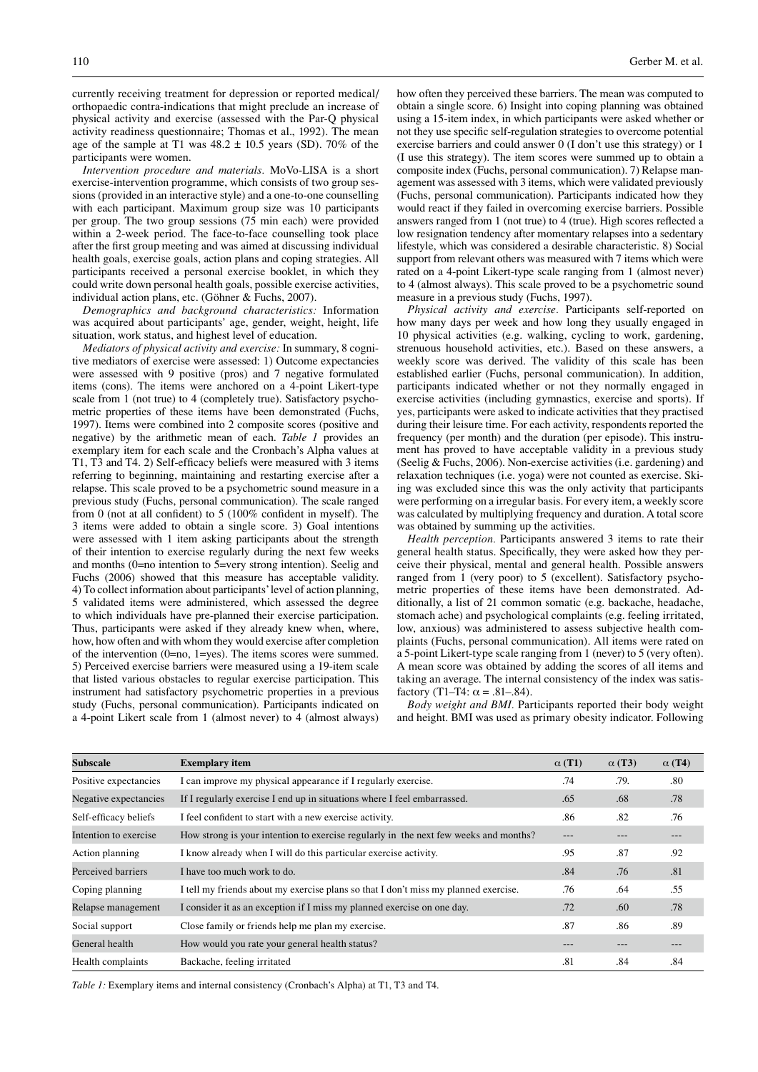currently receiving treatment for depression or reported medical/ orthopaedic contra-indications that might preclude an increase of physical activity and exercise (assessed with the Par-Q physical activity readiness questionnaire; Thomas et al., 1992). The mean age of the sample at T1 was  $48.2 \pm 10.5$  years (SD). 70% of the participants were women.

*Intervention procedure and materials.* MoVo-LISA is a short exercise-intervention programme, which consists of two group sessions (provided in an interactive style) and a one-to-one counselling with each participant. Maximum group size was 10 participants per group. The two group sessions (75 min each) were provided within a 2-week period. The face-to-face counselling took place after the first group meeting and was aimed at discussing individual health goals, exercise goals, action plans and coping strategies. All participants received a personal exercise booklet, in which they could write down personal health goals, possible exercise activities, individual action plans, etc. (Göhner & Fuchs, 2007).

*Demographics and background characteristics:* Information was acquired about participants' age, gender, weight, height, life situation, work status, and highest level of education.

*Mediators of physical activity and exercise:* In summary, 8 cognitive mediators of exercise were assessed: 1) Outcome expectancies were assessed with 9 positive (pros) and 7 negative formulated items (cons). The items were anchored on a 4-point Likert-type scale from 1 (not true) to 4 (completely true). Satisfactory psychometric properties of these items have been demonstrated (Fuchs, 1997). Items were combined into 2 composite scores (positive and negative) by the arithmetic mean of each. *Table 1* provides an exemplary item for each scale and the Cronbach's Alpha values at T1, T3 and T4. 2) Self-efficacy beliefs were measured with 3 items referring to beginning, maintaining and restarting exercise after a relapse. This scale proved to be a psychometric sound measure in a previous study (Fuchs, personal communication). The scale ranged from 0 (not at all confident) to 5 (100% confident in myself). The 3 items were added to obtain a single score. 3) Goal intentions were assessed with 1 item asking participants about the strength of their intention to exercise regularly during the next few weeks and months (0=no intention to 5=very strong intention). Seelig and Fuchs (2006) showed that this measure has acceptable validity. 4) To collect information about participants' level of action planning, 5 validated items were administered, which assessed the degree to which individuals have pre-planned their exercise participation. Thus, participants were asked if they already knew when, where, how, how often and with whom they would exercise after completion of the intervention (0=no, 1=yes). The items scores were summed. 5) Perceived exercise barriers were measured using a 19-item scale that listed various obstacles to regular exercise participation. This instrument had satisfactory psychometric properties in a previous study (Fuchs, personal communication). Participants indicated on a 4-point Likert scale from 1 (almost never) to 4 (almost always) how often they perceived these barriers. The mean was computed to obtain a single score. 6) Insight into coping planning was obtained using a 15-item index, in which participants were asked whether or not they use specific self-regulation strategies to overcome potential exercise barriers and could answer 0 (I don't use this strategy) or 1 (I use this strategy). The item scores were summed up to obtain a composite index (Fuchs, personal communication). 7) Relapse management was assessed with 3 items, which were validated previously (Fuchs, personal communication). Participants indicated how they would react if they failed in overcoming exercise barriers. Possible answers ranged from 1 (not true) to 4 (true). High scores reflected a low resignation tendency after momentary relapses into a sedentary lifestyle, which was considered a desirable characteristic. 8) Social support from relevant others was measured with 7 items which were rated on a 4-point Likert-type scale ranging from 1 (almost never) to 4 (almost always). This scale proved to be a psychometric sound measure in a previous study (Fuchs, 1997).

*Physical activity and exercise.* Participants self-reported on how many days per week and how long they usually engaged in 10 physical activities (e.g. walking, cycling to work, gardening, strenuous household activities, etc.). Based on these answers, a weekly score was derived. The validity of this scale has been established earlier (Fuchs, personal communication). In addition, participants indicated whether or not they normally engaged in exercise activities (including gymnastics, exercise and sports). If yes, participants were asked to indicate activities that they practised during their leisure time. For each activity, respondents reported the frequency (per month) and the duration (per episode). This instrument has proved to have acceptable validity in a previous study (Seelig & Fuchs, 2006). Non-exercise activities (i.e. gardening) and relaxation techniques (i.e. yoga) were not counted as exercise. Skiing was excluded since this was the only activity that participants were performing on a irregular basis. For every item, a weekly score was calculated by multiplying frequency and duration. A total score was obtained by summing up the activities.

*Health perception.* Participants answered 3 items to rate their general health status. Specifically, they were asked how they perceive their physical, mental and general health. Possible answers ranged from 1 (very poor) to 5 (excellent). Satisfactory psychometric properties of these items have been demonstrated. Additionally, a list of 21 common somatic (e.g. backache, headache, stomach ache) and psychological complaints (e.g. feeling irritated, low, anxious) was administered to assess subjective health complaints (Fuchs, personal communication). All items were rated on a 5-point Likert-type scale ranging from 1 (never) to 5 (very often). A mean score was obtained by adding the scores of all items and taking an average. The internal consistency of the index was satisfactory (T1–T4:  $\alpha$  = .81–.84).

*Body weight and BMI.* Participants reported their body weight and height. BMI was used as primary obesity indicator. Following

| Subscale              | <b>Exemplary item</b>                                                                | $\alpha(T1)$      | $\alpha$ (T3) | $\alpha$ (T4) |
|-----------------------|--------------------------------------------------------------------------------------|-------------------|---------------|---------------|
| Positive expectancies | I can improve my physical appearance if I regularly exercise.                        | .74               | .79.          | .80           |
| Negative expectancies | If I regularly exercise I end up in situations where I feel embarrassed.             | .65               | .68           | .78           |
| Self-efficacy beliefs | I feel confident to start with a new exercise activity.                              | .86               | .82           | .76           |
| Intention to exercise | How strong is your intention to exercise regularly in the next few weeks and months? | $\qquad \qquad -$ | ---           | ---           |
| Action planning       | I know already when I will do this particular exercise activity.                     | .95               | .87           | .92           |
| Perceived barriers    | I have too much work to do.                                                          | .84               | .76           | .81           |
| Coping planning       | I tell my friends about my exercise plans so that I don't miss my planned exercise.  | .76               | .64           | .55           |
| Relapse management    | I consider it as an exception if I miss my planned exercise on one day.              | .72               | .60           | .78           |
| Social support        | Close family or friends help me plan my exercise.                                    | .87               | .86           | .89           |
| General health        | How would you rate your general health status?                                       | ---               | ---           | ---           |
| Health complaints     | Backache, feeling irritated                                                          | .81               | .84           | .84           |

*Table 1:* Exemplary items and internal consistency (Cronbach's Alpha) at T1, T3 and T4.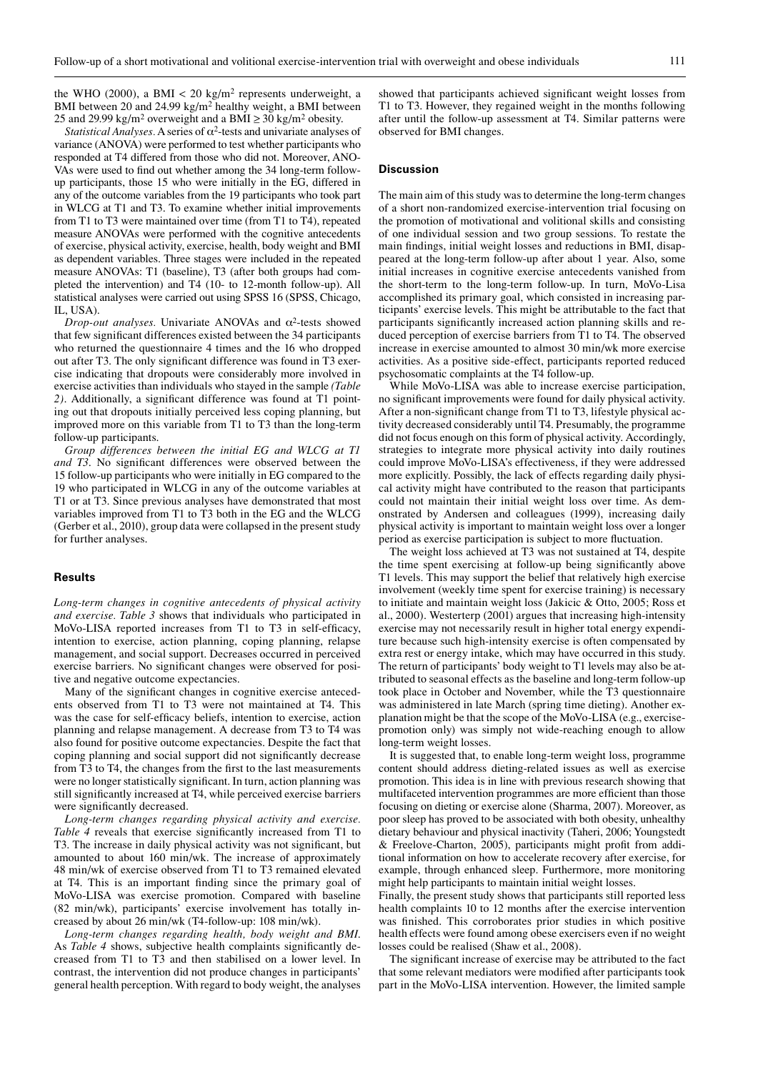the WHO (2000), a BMI  $<$  20 kg/m<sup>2</sup> represents underweight, a BMI between 20 and 24.99 kg/m<sup>2</sup> healthy weight, a BMI between 25 and 29.99 kg/m<sup>2</sup> overweight and a BMI  $\geq$  30 kg/m<sup>2</sup> obesity.

*Statistical Analyses.* A series of  $\alpha^2$ -tests and univariate analyses of variance (ANOVA) were performed to test whether participants who responded at T4 differed from those who did not. Moreover, ANO-VAs were used to find out whether among the 34 long-term followup participants, those 15 who were initially in the EG, differed in any of the outcome variables from the 19 participants who took part in WLCG at T1 and T3. To examine whether initial improvements from T1 to T3 were maintained over time (from T1 to T4), repeated measure ANOVAs were performed with the cognitive antecedents of exercise, physical activity, exercise, health, body weight and BMI as dependent variables. Three stages were included in the repeated measure ANOVAs: T1 (baseline), T3 (after both groups had completed the intervention) and T4 (10- to 12-month follow-up). All statistical analyses were carried out using SPSS 16 (SPSS, Chicago, IL, USA).

*Drop-out analyses.* Univariate ANOVAs and α2-tests showed that few significant differences existed between the 34 participants who returned the questionnaire 4 times and the 16 who dropped out after T3. The only significant difference was found in T3 exercise indicating that dropouts were considerably more involved in exercise activities than individuals who stayed in the sample *(Table 2)*. Additionally, a significant difference was found at T1 pointing out that dropouts initially perceived less coping planning, but improved more on this variable from T1 to T3 than the long-term follow-up participants.

*Group differences between the initial EG and WLCG at T1 and T3*. No significant differences were observed between the 15 follow-up participants who were initially in EG compared to the 19 who participated in WLCG in any of the outcome variables at T1 or at T3. Since previous analyses have demonstrated that most variables improved from T1 to T3 both in the EG and the WLCG (Gerber et al., 2010), group data were collapsed in the present study for further analyses.

# **Results**

*Long-term changes in cognitive antecedents of physical activity and exercise. Table 3* shows that individuals who participated in MoVo-LISA reported increases from T1 to T3 in self-efficacy, intention to exercise, action planning, coping planning, relapse management, and social support. Decreases occurred in perceived exercise barriers. No significant changes were observed for positive and negative outcome expectancies.

Many of the significant changes in cognitive exercise antecedents observed from T1 to T3 were not maintained at T4. This was the case for self-efficacy beliefs, intention to exercise, action planning and relapse management. A decrease from T3 to T4 was also found for positive outcome expectancies. Despite the fact that coping planning and social support did not significantly decrease from T3 to T4, the changes from the first to the last measurements were no longer statistically significant. In turn, action planning was still significantly increased at T4, while perceived exercise barriers were significantly decreased.

*Long-term changes regarding physical activity and exercise. Table 4* reveals that exercise significantly increased from T1 to T3. The increase in daily physical activity was not significant, but amounted to about 160 min/wk. The increase of approximately 48 min/wk of exercise observed from T1 to T3 remained elevated at T4. This is an important finding since the primary goal of MoVo-LISA was exercise promotion. Compared with baseline (82 min/wk), participants' exercise involvement has totally increased by about 26 min/wk (T4-follow-up: 108 min/wk).

*Long-term changes regarding health, body weight and BMI*. As *Table 4* shows, subjective health complaints significantly decreased from T1 to T3 and then stabilised on a lower level. In contrast, the intervention did not produce changes in participants' general health perception. With regard to body weight, the analyses

showed that participants achieved significant weight losses from T1 to T3. However, they regained weight in the months following after until the follow-up assessment at T4. Similar patterns were observed for BMI changes.

#### **Discussion**

The main aim of this study was to determine the long-term changes of a short non-randomized exercise-intervention trial focusing on the promotion of motivational and volitional skills and consisting of one individual session and two group sessions. To restate the main findings, initial weight losses and reductions in BMI, disappeared at the long-term follow-up after about 1 year. Also, some initial increases in cognitive exercise antecedents vanished from the short-term to the long-term follow-up. In turn, MoVo-Lisa accomplished its primary goal, which consisted in increasing participants' exercise levels. This might be attributable to the fact that participants significantly increased action planning skills and reduced perception of exercise barriers from T1 to T4. The observed increase in exercise amounted to almost 30 min/wk more exercise activities. As a positive side-effect, participants reported reduced psychosomatic complaints at the T4 follow-up.

While MoVo-LISA was able to increase exercise participation, no significant improvements were found for daily physical activity. After a non-significant change from T1 to T3, lifestyle physical activity decreased considerably until T4. Presumably, the programme did not focus enough on this form of physical activity. Accordingly, strategies to integrate more physical activity into daily routines could improve MoVo-LISA's effectiveness, if they were addressed more explicitly. Possibly, the lack of effects regarding daily physical activity might have contributed to the reason that participants could not maintain their initial weight loss over time. As demonstrated by Andersen and colleagues (1999), increasing daily physical activity is important to maintain weight loss over a longer period as exercise participation is subject to more fluctuation.

The weight loss achieved at T3 was not sustained at T4, despite the time spent exercising at follow-up being significantly above T1 levels. This may support the belief that relatively high exercise involvement (weekly time spent for exercise training) is necessary to initiate and maintain weight loss (Jakicic & Otto, 2005; Ross et al., 2000). Westerterp (2001) argues that increasing high-intensity exercise may not necessarily result in higher total energy expenditure because such high-intensity exercise is often compensated by extra rest or energy intake, which may have occurred in this study. The return of participants' body weight to T1 levels may also be attributed to seasonal effects as the baseline and long-term follow-up took place in October and November, while the T3 questionnaire was administered in late March (spring time dieting). Another explanation might be that the scope of the MoVo-LISA (e.g., exercisepromotion only) was simply not wide-reaching enough to allow long-term weight losses.

It is suggested that, to enable long-term weight loss, programme content should address dieting-related issues as well as exercise promotion. This idea is in line with previous research showing that multifaceted intervention programmes are more efficient than those focusing on dieting or exercise alone (Sharma, 2007). Moreover, as poor sleep has proved to be associated with both obesity, unhealthy dietary behaviour and physical inactivity (Taheri, 2006; Youngstedt & Freelove-Charton, 2005), participants might profit from additional information on how to accelerate recovery after exercise, for example, through enhanced sleep. Furthermore, more monitoring might help participants to maintain initial weight losses.

Finally, the present study shows that participants still reported less health complaints 10 to 12 months after the exercise intervention was finished. This corroborates prior studies in which positive health effects were found among obese exercisers even if no weight losses could be realised (Shaw et al., 2008).

The significant increase of exercise may be attributed to the fact that some relevant mediators were modified after participants took part in the MoVo-LISA intervention. However, the limited sample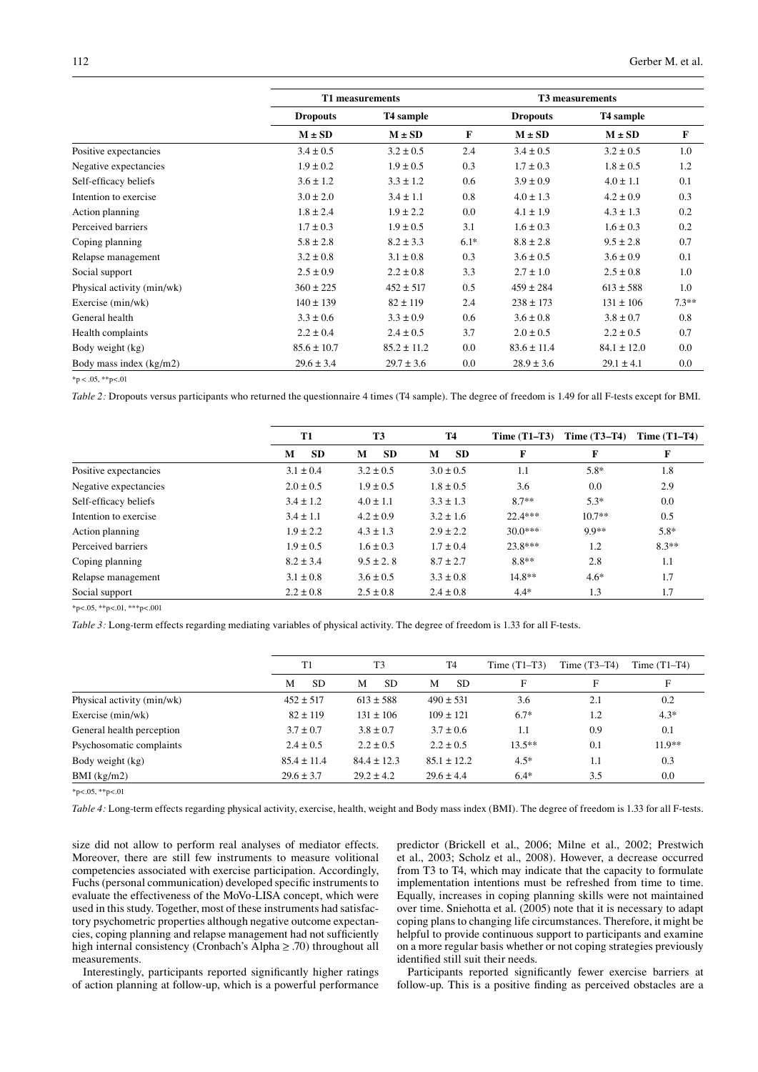|                            | T1 measurements |                       |        | T3 measurements |                       |         |  |
|----------------------------|-----------------|-----------------------|--------|-----------------|-----------------------|---------|--|
|                            | <b>Dropouts</b> | T <sub>4</sub> sample |        | <b>Dropouts</b> | T <sub>4</sub> sample |         |  |
|                            | $M \pm SD$      | $M \pm SD$            | F      | $M \pm SD$      | $M \pm SD$            | F       |  |
| Positive expectancies      | $3.4 \pm 0.5$   | $3.2 \pm 0.5$         | 2.4    | $3.4 \pm 0.5$   | $3.2 \pm 0.5$         | 1.0     |  |
| Negative expectancies      | $1.9 \pm 0.2$   | $1.9 \pm 0.5$         | 0.3    | $1.7 \pm 0.3$   | $1.8 \pm 0.5$         | 1.2     |  |
| Self-efficacy beliefs      | $3.6 \pm 1.2$   | $3.3 \pm 1.2$         | 0.6    | $3.9 \pm 0.9$   | $4.0 \pm 1.1$         | 0.1     |  |
| Intention to exercise      | $3.0 \pm 2.0$   | $3.4 \pm 1.1$         | 0.8    | $4.0 \pm 1.3$   | $4.2 \pm 0.9$         | 0.3     |  |
| Action planning            | $1.8 \pm 2.4$   | $1.9 \pm 2.2$         | 0.0    | $4.1 \pm 1.9$   | $4.3 \pm 1.3$         | 0.2     |  |
| Perceived barriers         | $1.7 \pm 0.3$   | $1.9 \pm 0.5$         | 3.1    | $1.6 \pm 0.3$   | $1.6 \pm 0.3$         | 0.2     |  |
| Coping planning            | $5.8 \pm 2.8$   | $8.2 \pm 3.3$         | $6.1*$ | $8.8 \pm 2.8$   | $9.5 \pm 2.8$         | 0.7     |  |
| Relapse management         | $3.2 \pm 0.8$   | $3.1 \pm 0.8$         | 0.3    | $3.6 \pm 0.5$   | $3.6 \pm 0.9$         | 0.1     |  |
| Social support             | $2.5 \pm 0.9$   | $2.2 \pm 0.8$         | 3.3    | $2.7 \pm 1.0$   | $2.5 \pm 0.8$         | 1.0     |  |
| Physical activity (min/wk) | $360 \pm 225$   | $452 \pm 517$         | 0.5    | $459 \pm 284$   | $613 \pm 588$         | 1.0     |  |
| Exercise (min/wk)          | $140 \pm 139$   | $82 \pm 119$          | 2.4    | $238 \pm 173$   | $131 \pm 106$         | $7.3**$ |  |
| General health             | $3.3 \pm 0.6$   | $3.3 \pm 0.9$         | 0.6    | $3.6 \pm 0.8$   | $3.8 \pm 0.7$         | 0.8     |  |
| Health complaints          | $2.2 \pm 0.4$   | $2.4 \pm 0.5$         | 3.7    | $2.0 \pm 0.5$   | $2.2 \pm 0.5$         | 0.7     |  |
| Body weight (kg)           | $85.6 \pm 10.7$ | $85.2 \pm 11.2$       | 0.0    | $83.6 \pm 11.4$ | $84.1 \pm 12.0$       | $0.0\,$ |  |
| Body mass index (kg/m2)    | $29.6 \pm 3.4$  | $29.7 \pm 3.6$        | 0.0    | $28.9 \pm 3.6$  | $29.1 \pm 4.1$        | $0.0\,$ |  |
|                            |                 |                       |        |                 |                       |         |  |

 $*p < .05$ ,  $*p < .01$ 

*Table 2:* Dropouts versus participants who returned the questionnaire 4 times (T4 sample). The degree of freedom is 1.49 for all F-tests except for BMI.

|                       | <b>T1</b>      | <b>T3</b>      | <b>T4</b>      | Time $(T1-T3)$ | Time $(T3-T4)$ | Time $(T1-T4)$ |
|-----------------------|----------------|----------------|----------------|----------------|----------------|----------------|
|                       | <b>SD</b><br>M | <b>SD</b><br>M | <b>SD</b><br>М | F              | F              | F              |
| Positive expectancies | $3.1 \pm 0.4$  | $3.2 \pm 0.5$  | $3.0 \pm 0.5$  | 1.1            | $5.8*$         | 1.8            |
| Negative expectancies | $2.0 \pm 0.5$  | $1.9 \pm 0.5$  | $1.8 \pm 0.5$  | 3.6            | 0.0            | 2.9            |
| Self-efficacy beliefs | $3.4 \pm 1.2$  | $4.0 \pm 1.1$  | $3.3 \pm 1.3$  | $8.7**$        | $5.3*$         | 0.0            |
| Intention to exercise | $3.4 \pm 1.1$  | $4.2 \pm 0.9$  | $3.2 \pm 1.6$  | $22.4***$      | $10.7**$       | 0.5            |
| Action planning       | $1.9 \pm 2.2$  | $4.3 \pm 1.3$  | $2.9 \pm 2.2$  | $30.0***$      | $9.9**$        | $5.8*$         |
| Perceived barriers    | $1.9 \pm 0.5$  | $1.6 \pm 0.3$  | $1.7 \pm 0.4$  | $23.8***$      | 1.2            | $8.3**$        |
| Coping planning       | $8.2 \pm 3.4$  | $9.5 \pm 2.8$  | $8.7 \pm 2.7$  | $8.8**$        | 2.8            | 1.1            |
| Relapse management    | $3.1 \pm 0.8$  | $3.6 \pm 0.5$  | $3.3 \pm 0.8$  | $14.8**$       | $4.6*$         | 1.7            |
| Social support        | $2.2 \pm 0.8$  | $2.5 \pm 0.8$  | $2.4 \pm 0.8$  | $4.4*$         | 1.3            | 1.7            |

 $*p<.05$ ,  $*p<.01$ ,  $**p<.001$ 

*Table 3:* Long-term effects regarding mediating variables of physical activity. The degree of freedom is 1.33 for all F-tests.

|                            | T1              | T <sub>3</sub>  | T <sub>4</sub>  | Time $(T1-T3)$ | Time $(T3-T4)$ | Time $(T1-T4)$ |
|----------------------------|-----------------|-----------------|-----------------|----------------|----------------|----------------|
|                            | M<br><b>SD</b>  | <b>SD</b><br>М  | <b>SD</b><br>м  | F              | F              | F              |
| Physical activity (min/wk) | $452 \pm 517$   | $613 \pm 588$   | $490 \pm 531$   | 3.6            | 2.1            | 0.2            |
| Exercise (min/wk)          | $82 \pm 119$    | $131 \pm 106$   | $109 \pm 121$   | $6.7*$         | 1.2            | $4.3*$         |
| General health perception  | $3.7 \pm 0.7$   | $3.8 \pm 0.7$   | $3.7 \pm 0.6$   | 1.1            | 0.9            | 0.1            |
| Psychosomatic complaints   | $2.4 \pm 0.5$   | $2.2 \pm 0.5$   | $2.2 \pm 0.5$   | $13.5***$      | 0.1            | $11.9**$       |
| Body weight (kg)           | $85.4 \pm 11.4$ | $84.4 \pm 12.3$ | $85.1 \pm 12.2$ | $4.5*$         | 1.1            | 0.3            |
| $BMI$ (kg/m2)              | $29.6 \pm 3.7$  | $29.2 \pm 4.2$  | $29.6 \pm 4.4$  | $6.4*$         | 3.5            | 0.0            |

 $*n < 0.05$ ,  $* n < 0.01$ 

*Table 4:* Long-term effects regarding physical activity, exercise, health, weight and Body mass index (BMI). The degree of freedom is 1.33 for all F-tests.

size did not allow to perform real analyses of mediator effects. Moreover, there are still few instruments to measure volitional competencies associated with exercise participation. Accordingly, Fuchs (personal communication) developed specific instruments to evaluate the effectiveness of the MoVo-LISA concept, which were used in this study. Together, most of these instruments had satisfactory psychometric properties although negative outcome expectancies, coping planning and relapse management had not sufficiently high internal consistency (Cronbach's Alpha  $\ge$  .70) throughout all measurements.

predictor (Brickell et al., 2006; Milne et al., 2002; Prestwich et al., 2003; Scholz et al., 2008). However, a decrease occurred from T3 to T4, which may indicate that the capacity to formulate implementation intentions must be refreshed from time to time. Equally, increases in coping planning skills were not maintained over time. Sniehotta et al. (2005) note that it is necessary to adapt coping plans to changing life circumstances. Therefore, it might be helpful to provide continuous support to participants and examine on a more regular basis whether or not coping strategies previously identified still suit their needs.

Interestingly, participants reported significantly higher ratings of action planning at follow-up, which is a powerful performance

Participants reported significantly fewer exercise barriers at follow-up. This is a positive finding as perceived obstacles are a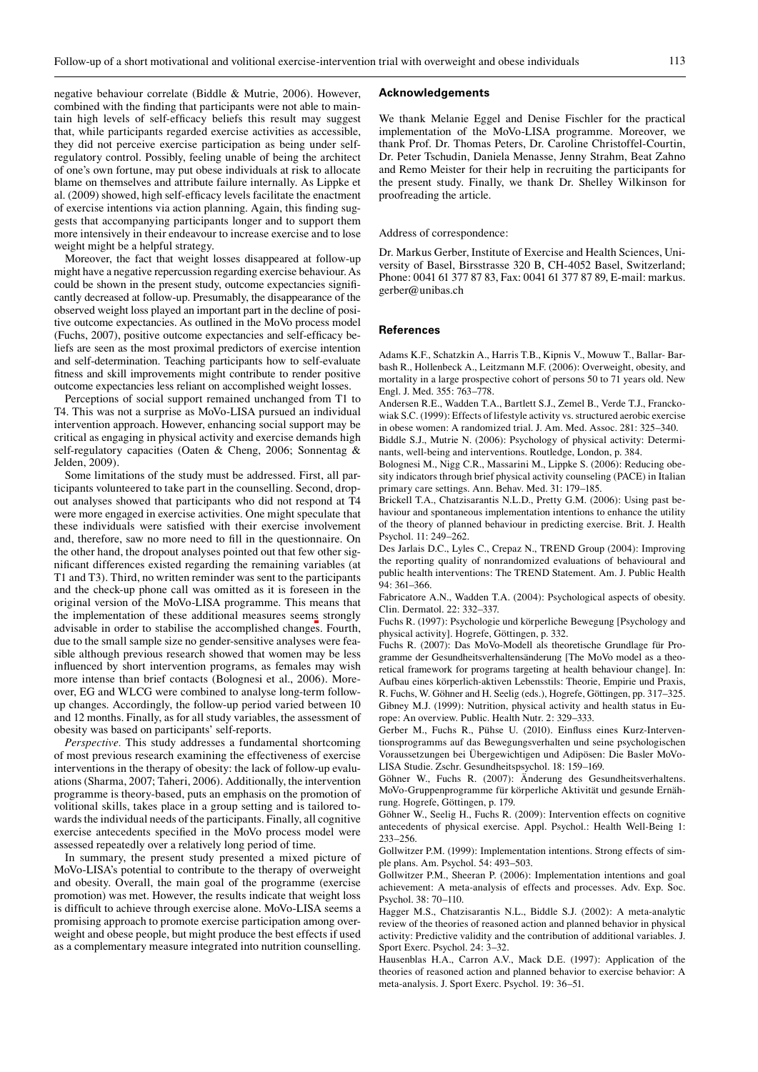negative behaviour correlate (Biddle & Mutrie, 2006). However, combined with the finding that participants were not able to maintain high levels of self-efficacy beliefs this result may suggest that, while participants regarded exercise activities as accessible, they did not perceive exercise participation as being under selfregulatory control. Possibly, feeling unable of being the architect of one's own fortune, may put obese individuals at risk to allocate blame on themselves and attribute failure internally. As Lippke et al. (2009) showed, high self-efficacy levels facilitate the enactment of exercise intentions via action planning. Again, this finding suggests that accompanying participants longer and to support them more intensively in their endeavour to increase exercise and to lose weight might be a helpful strategy.

Moreover, the fact that weight losses disappeared at follow-up might have a negative repercussion regarding exercise behaviour. As could be shown in the present study, outcome expectancies significantly decreased at follow-up. Presumably, the disappearance of the observed weight loss played an important part in the decline of positive outcome expectancies. As outlined in the MoVo process model (Fuchs, 2007), positive outcome expectancies and self-efficacy beliefs are seen as the most proximal predictors of exercise intention and self-determination. Teaching participants how to self-evaluate fitness and skill improvements might contribute to render positive outcome expectancies less reliant on accomplished weight losses.

Perceptions of social support remained unchanged from T1 to T4. This was not a surprise as MoVo-LISA pursued an individual intervention approach. However, enhancing social support may be critical as engaging in physical activity and exercise demands high self-regulatory capacities (Oaten & Cheng, 2006; Sonnentag & Jelden, 2009).

Some limitations of the study must be addressed. First, all participants volunteered to take part in the counselling. Second, dropout analyses showed that participants who did not respond at T4 were more engaged in exercise activities. One might speculate that these individuals were satisfied with their exercise involvement and, therefore, saw no more need to fill in the questionnaire. On the other hand, the dropout analyses pointed out that few other significant differences existed regarding the remaining variables (at T1 and T3). Third, no written reminder was sent to the participants and the check-up phone call was omitted as it is foreseen in the original version of the MoVo-LISA programme. This means that the implementation of these additional measures seems strongly advisable in order to stabilise the accomplished changes. Fourth, due to the small sample size no gender-sensitive analyses were feasible although previous research showed that women may be less influenced by short intervention programs, as females may wish more intense than brief contacts (Bolognesi et al., 2006). Moreover, EG and WLCG were combined to analyse long-term followup changes. Accordingly, the follow-up period varied between 10 and 12 months. Finally, as for all study variables, the assessment of obesity was based on participants' self-reports.

*Perspective.* This study addresses a fundamental shortcoming of most previous research examining the effectiveness of exercise interventions in the therapy of obesity: the lack of follow-up evaluations (Sharma, 2007; Taheri, 2006). Additionally, the intervention programme is theory-based, puts an emphasis on the promotion of volitional skills, takes place in a group setting and is tailored towards the individual needs of the participants. Finally, all cognitive exercise antecedents specified in the MoVo process model were assessed repeatedly over a relatively long period of time.

In summary, the present study presented a mixed picture of MoVo-LISA's potential to contribute to the therapy of overweight and obesity. Overall, the main goal of the programme (exercise promotion) was met. However, the results indicate that weight loss is difficult to achieve through exercise alone. MoVo-LISA seems a promising approach to promote exercise participation among overweight and obese people, but might produce the best effects if used as a complementary measure integrated into nutrition counselling.

# **Acknowledgements**

We thank Melanie Eggel and Denise Fischler for the practical implementation of the MoVo-LISA programme. Moreover, we thank Prof. Dr. Thomas Peters, Dr. Caroline Christoffel-Courtin, Dr. Peter Tschudin, Daniela Menasse, Jenny Strahm, Beat Zahno and Remo Meister for their help in recruiting the participants for the present study. Finally, we thank Dr. Shelley Wilkinson for proofreading the article.

#### Address of correspondence:

Dr. Markus Gerber, Institute of Exercise and Health Sciences, University of Basel, Birsstrasse 320 B, CH-4052 Basel, Switzerland; Phone: 0041 61 377 87 83, Fax: 0041 61 377 87 89, E-mail: markus. gerber@unibas.ch

#### **References**

Adams K.F., Schatzkin A., Harris T.B., Kipnis V., Mowuw T., Ballar- Barbash R., Hollenbeck A., Leitzmann M.F. (2006): Overweight, obesity, and mortality in a large prospective cohort of persons 50 to 71 years old. New Engl. J. Med. 355: 763–778.

Andersen R.E., Wadden T.A., Bartlett S.J., Zemel B., Verde T.J., Franckowiak S.C. (1999): Effects of lifestyle activity vs. structured aerobic exercise in obese women: A randomized trial. J. Am. Med. Assoc. 281: 325–340.

Biddle S.J., Mutrie N. (2006): Psychology of physical activity: Determinants, well-being and interventions. Routledge, London, p. 384.

Bolognesi M., Nigg C.R., Massarini M., Lippke S. (2006): Reducing obesity indicators through brief physical activity counseling (PACE) in Italian primary care settings. Ann. Behav. Med. 31: 179–185.

Brickell T.A., Chatzisarantis N.L.D., Pretty G.M. (2006): Using past behaviour and spontaneous implementation intentions to enhance the utility of the theory of planned behaviour in predicting exercise. Brit. J. Health Psychol. 11: 249–262.

Des Jarlais D.C., Lyles C., Crepaz N., TREND Group (2004): Improving the reporting quality of nonrandomized evaluations of behavioural and public health interventions: The TREND Statement. Am. J. Public Health 94: 361–366.

Fabricatore A.N., Wadden T.A. (2004): Psychological aspects of obesity. Clin. Dermatol. 22: 332–337.

Fuchs R. (1997): Psychologie und körperliche Bewegung [Psychology and physical activity]. Hogrefe, Göttingen, p. 332.

Fuchs R. (2007): Das MoVo-Modell als theoretische Grundlage für Programme der Gesundheitsverhaltensänderung [The MoVo model as a theoretical framework for programs targeting at health behaviour change]. In: Aufbau eines körperlich-aktiven Lebensstils: Theorie, Empirie und Praxis, R. Fuchs, W. Göhner and H. Seelig (eds.), Hogrefe, Göttingen, pp. 317–325. Gibney M.J. (1999): Nutrition, physical activity and health status in Europe: An overview. Public. Health Nutr. 2: 329–333.

Gerber M., Fuchs R., Pühse U. (2010). Einfluss eines Kurz-Interventionsprogramms auf das Bewegungsverhalten und seine psychologischen Voraussetzungen bei Übergewichtigen und Adipösen: Die Basler MoVo-LISA Studie. Zschr. Gesundheitspsychol. 18: 159–169.

Göhner W., Fuchs R. (2007): Änderung des Gesundheitsverhaltens. MoVo-Gruppenprogramme für körperliche Aktivität und gesunde Ernährung. Hogrefe, Göttingen, p. 179.

Göhner W., Seelig H., Fuchs R. (2009): Intervention effects on cognitive antecedents of physical exercise. Appl. Psychol.: Health Well-Being 1: 233–256.

Gollwitzer P.M. (1999): Implementation intentions. Strong effects of simple plans. Am. Psychol. 54: 493–503.

Gollwitzer P.M., Sheeran P. (2006): Implementation intentions and goal achievement: A meta-analysis of effects and processes. Adv. Exp. Soc. Psychol. 38: 70–110.

Hagger M.S., Chatzisarantis N.L., Biddle S.J. (2002): A meta-analytic review of the theories of reasoned action and planned behavior in physical activity: Predictive validity and the contribution of additional variables. J. Sport Exerc. Psychol. 24: 3–32.

Hausenblas H.A., Carron A.V., Mack D.E. (1997): Application of the theories of reasoned action and planned behavior to exercise behavior: A meta-analysis. J. Sport Exerc. Psychol. 19: 36–51.